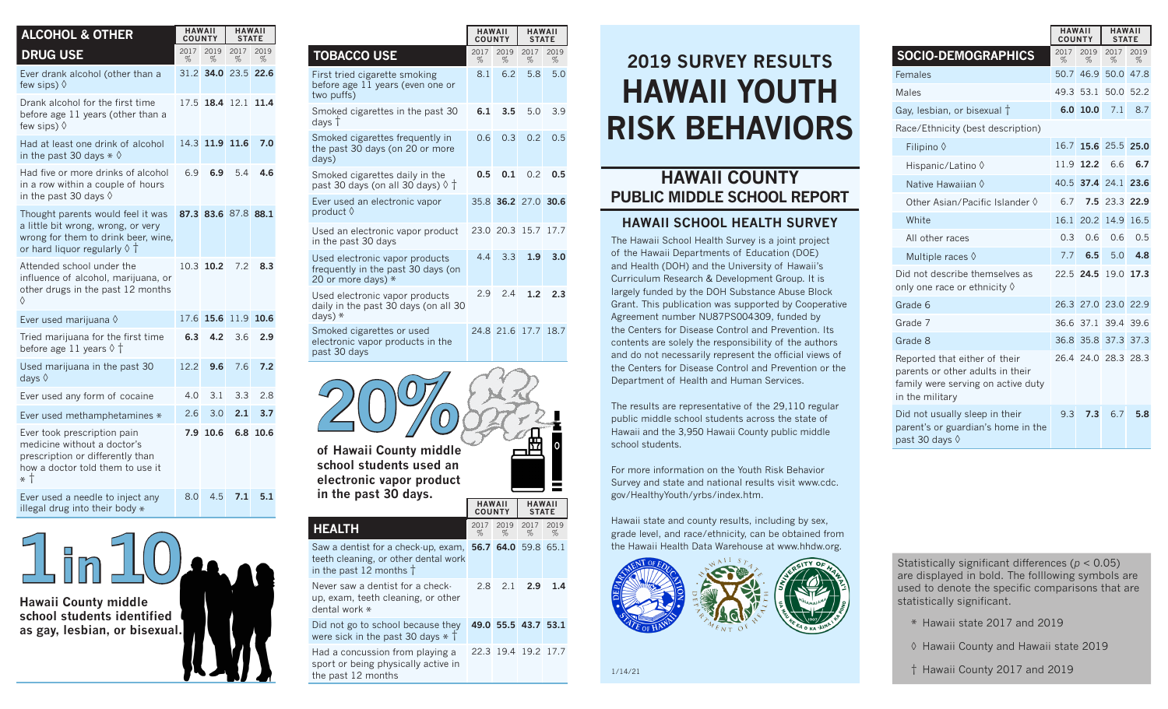| <b>ALCOHOL &amp; OTHER</b>                                                                                                                                       | <b>HAWAII</b><br><b>COUNTY</b> |                | <b>HAWAII</b><br><b>STATE</b> |           |
|------------------------------------------------------------------------------------------------------------------------------------------------------------------|--------------------------------|----------------|-------------------------------|-----------|
| <b>DRUG USE</b>                                                                                                                                                  | 2017<br>%                      | 2019<br>%      | 2017<br>%                     | 2019<br>% |
| Ever drank alcohol (other than a<br>few sips) $\Diamond$                                                                                                         |                                | 31.2 34.0 23.5 |                               | 22.6      |
| Drank alcohol for the first time<br>before age 11 years (other than a<br>few sips) $\Diamond$                                                                    | 17.5                           | 18.4           | 12.1                          | 11.4      |
| Had at least one drink of alcohol<br>in the past 30 days $*$ $\diamond$                                                                                          |                                | 14.3 11.9 11.6 |                               | 7.0       |
| Had five or more drinks of alcohol<br>in a row within a couple of hours<br>in the past 30 days $\Diamond$                                                        | 69                             | 6.9            | 5.4                           | 4.6       |
| Thought parents would feel it was<br>a little bit wrong, wrong, or very<br>wrong for them to drink beer, wine,<br>or hard liquor regularly $\Diamond$ $\uparrow$ |                                | 87.3 83.6 87.8 |                               | 88.1      |
| Attended school under the<br>influence of alcohol, marijuana, or<br>other drugs in the past 12 months<br>♦                                                       |                                | 10.3 10.2      | 7.2                           | 8.3       |
| Ever used marijuana $\Diamond$                                                                                                                                   | 17.6                           | 15.6           | 11.9                          | 10.6      |
| Tried marijuana for the first time<br>before age 11 years $\Diamond$ $\dag$                                                                                      | 6.3                            | 4.2            | 3.6                           | 2.9       |
| Used marijuana in the past 30<br>days $\Diamond$                                                                                                                 | 12.2                           | 9.6            | 7.6                           | 7.2       |
| Ever used any form of cocaine                                                                                                                                    | 4.0                            | 3.1            | 3.3                           | 2.8       |
| Ever used methamphetamines *                                                                                                                                     | 2.6                            | 3.0            | 2.1                           | 3.7       |
| Ever took prescription pain<br>medicine without a doctor's<br>prescription or differently than<br>how a doctor told them to use it<br>* Ť                        |                                | 7.9 10.6       | 6.8                           | 10.6      |
| Ever used a needle to inject any<br>illegal drug into their body *                                                                                               | 8.0                            | 4.5            | 7.1                           | 5.1       |



|                |      |      | Used an electronic vapor product<br>in the past 30 days                                                      |
|----------------|------|------|--------------------------------------------------------------------------------------------------------------|
| $\overline{2}$ | 7.2  | 8.3  | Used electronic vapor products<br>frequently in the past 30 days (on<br>20 or more days) *                   |
|                |      |      | Used electronic vapor products<br>daily in the past 30 days (on all 3<br>days) $*$                           |
| .6             | 11.9 | 10.6 |                                                                                                              |
| .2             | 3.6  | 2.9  | Smoked cigarettes or used<br>electronic vapor products in the<br>past 30 days                                |
| .6             | 7.6  | 7.2  |                                                                                                              |
| . 1            | 3.3  | 2.8  |                                                                                                              |
| $\overline{0}$ | 2.1  | 3.7  |                                                                                                              |
| .6             | 6.8  | 10.6 |                                                                                                              |
|                |      |      | of Hawaii County middle<br>school students used an                                                           |
| .5             | 7.1  | 5.1  | electronic vapor product<br>in the past 30 days.                                                             |
|                |      |      | <b>HEALTH</b>                                                                                                |
|                |      |      | Saw a dentist for a check-up, exam<br>teeth cleaning, or other dental wor<br>in the past 12 months $\dagger$ |
|                |      |      | Never saw a dentist for a check-<br>up, exam, teeth cleaning, or other<br>dental work *                      |
|                |      |      | Did not go to school because they<br>were sick in the past 30 days $*$ $\dagger$                             |
|                |      |      | Had a concussion from playing a<br>sport or being physically active in<br>the past 12 months                 |

|                                                                                                                                    | <b>HAWAII</b><br><b>COUNTY</b> |                     | <b>HAWAII</b><br><b>STATE</b> |           |
|------------------------------------------------------------------------------------------------------------------------------------|--------------------------------|---------------------|-------------------------------|-----------|
| <b>TOBACCO USE</b>                                                                                                                 | 2017<br>%                      | 2019<br>%           | 2017<br>%                     | 2019<br>% |
| First tried cigarette smoking<br>before age 11 years (even one or<br>two puffs)                                                    | 8.1                            | 6.2                 | 5.8                           | 5.0       |
| Smoked cigarettes in the past 30<br>days <sup>†</sup>                                                                              | 6.1                            | 3.5                 | 5.0                           | 3.9       |
| Smoked cigarettes frequently in<br>the past 30 days (on 20 or more<br>days)                                                        | 0.6                            | 0.3                 | 0.2                           | 0.5       |
| Smoked cigarettes daily in the<br>past 30 days (on all 30 days) $\Diamond$ $\dag$                                                  | 0.5                            | 0.1                 | 0 <sub>2</sub>                | 0.5       |
| Ever used an electronic vapor<br>product $\Diamond$                                                                                | 35.8                           | <b>36.2</b> 27.0    |                               | 30.6      |
| Used an electronic vapor product<br>in the past 30 days                                                                            |                                | 23.0 20.3           | 15.7                          | 17.7      |
| Used electronic vapor products<br>frequently in the past 30 days (on<br>20 or more days) *                                         | 4.4                            | 3.3                 | 1.9                           | 3.0       |
| Used electronic vapor products<br>daily in the past 30 days (on all 30<br>days) *                                                  | 2.9                            | 2.4                 | 1.2                           | 2.3       |
| Smoked cigarettes or used<br>electronic vapor products in the<br>past 30 days                                                      |                                | 24.8 21.6           | 17.7                          | 18.7      |
| of Hawaii County middle<br>school students used an<br>electronic vapor product<br>in the past 30 days.                             | <b>HAWAII</b><br><b>COUNTY</b> |                     | <b>HAWAII</b><br><b>STATE</b> |           |
| <b>HEALTH</b>                                                                                                                      | 2017<br>%                      | 2019<br>%           | 2017<br>%                     | 2019<br>% |
| Saw a dentist for a check-up, exam, 56.7 64.0 59.8 65.1<br>teeth cleaning, or other dental work<br>in the past 12 months $\dagger$ |                                |                     |                               |           |
| Never saw a dentist for a check-<br>up, exam, teeth cleaning, or other<br>dental work *                                            | 2.8                            | 2.1                 | 2.9                           | 1.4       |
| Did not go to school because they<br>were sick in the past 30 days $*$ $\dagger$                                                   |                                | 49.0 55.5 43.7 53.1 |                               |           |
| Had a concussion from playing a                                                                                                    |                                | 22.3 19.4 19.2 17.7 |                               |           |

## **HAWAII YOUTH RISK BEHAVIORS 2019 SURVEY RESULTS**

## **HAWAII COUNTY PUBLIC MIDDLE SCHOOL REPORT**

## **HAWAII SCHOOL HEALTH SURVEY**

The Hawaii School Health Survey is a joint project of the Hawaii Departments of Education (DOE) and Health (DOH) and the University of Hawaii's Curriculum Research & Development Group. It is largely funded by the DOH Substance Abuse Block Grant. This publication was supported by Cooperative Agreement number NU87PS004309, funded by the Centers for Disease Control and Prevention. Its contents are solely the responsibility of the authors and do not necessarily represent the official views of the Centers for Disease Control and Prevention or the Department of Health and Human Services.

The results are representative of the 29,110 regular public middle school students across the state of Hawaii and the 3,950 Hawaii County public middle school students.

For more information on the Youth Risk Behavior Survey and state and national results visit www.cdc. gov/HealthyYouth/yrbs/index.htm.

Hawaii state and county results, including by sex, grade level, and race/ethnicity, can be obtained from the Hawaii Health Data Warehouse at www.hhdw.org.



| <b>SOCIO-DEMOGRAPHICS</b>                                                                                                  | 2017<br>% | 2019<br>%      | 2017<br>$\%$        | 2019<br>% |
|----------------------------------------------------------------------------------------------------------------------------|-----------|----------------|---------------------|-----------|
| Females                                                                                                                    |           |                | 50.7 46.9 50.0      | 47.8      |
| <b>Males</b>                                                                                                               |           | 49.3 53.1      | 50.0                | 52.2      |
| Gay, lesbian, or bisexual T                                                                                                |           | $6.0$ 10.0     | 7.1                 | 8.7       |
| Race/Ethnicity (best description)                                                                                          |           |                |                     |           |
| Filipino $\diamond$                                                                                                        | 16.7      |                | 15.6 25.5 25.0      |           |
| Hispanic/Latino ◊                                                                                                          |           | 11.9 12.2      | 6.6                 | 6.7       |
| Native Hawaiian $\Diamond$                                                                                                 |           | 40.5 37.4 24.1 |                     | 23.6      |
| Other Asian/Pacific Islander $\Diamond$                                                                                    | 6.7       |                | 7.5 23.3 22.9       |           |
| White                                                                                                                      |           |                | 16.1 20.2 14.9      | 16.5      |
| All other races                                                                                                            | 0.3       | 0.6            | 0.6                 | 0.5       |
| Multiple races $\Diamond$                                                                                                  | 7.7       | 6.5            | 5.0                 | 4.8       |
| Did not describe themselves as<br>only one race or ethnicity $\Diamond$                                                    |           | 22.5 24.5      | 19.0                | 17.3      |
| Grade 6                                                                                                                    |           |                | 26.3 27.0 23.0 22.9 |           |
| Grade 7                                                                                                                    |           |                | 36.6 37.1 39.4 39.6 |           |
| Grade 8                                                                                                                    |           |                | 36.8 35.8 37.3 37.3 |           |
| Reported that either of their<br>parents or other adults in their<br>family were serving on active duty<br>in the military |           |                | 26.4 24.0 28.3 28.3 |           |
| Did not usually sleep in their                                                                                             | 9.3       | 7.3            | 6.7                 | 5.8       |

**HAWAII COUNTY** **HAWAII STATE**

parent's or guardian's home in the past 30 days ◊

Statistically significant differences (*p* < 0.05) are displayed in bold. The folllowing symbols are used to denote the specific comparisons that are statistically significant.

- \* Hawaii state 2017 and 2019
- ◊ Hawaii County and Hawaii state 2019
- † Hawaii County 2017 and 2019